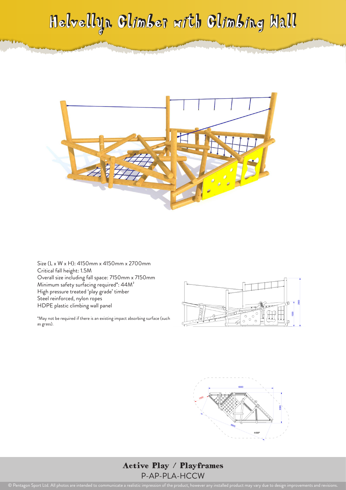## Helvellyn Climber with Climbing Wall



Size (L x W x H): 4150mm x 4150mm x 2700mm Critical fall height: 1.5M Overall size including fall space: 7150mm x 7150mm Minimum safety surfacing required\*: 44M² High pressure treated 'play grade' timber Steel reinforced, nylon ropes HDPE plastic climbing wall panel

\*May not be required if there is an existing impact absorbing surface (such as grass).





## Active Play / Playframes P-AP-PLA-HCCW